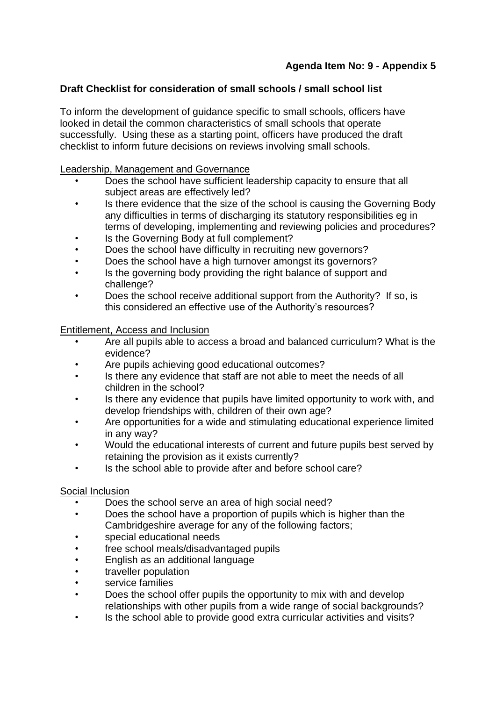# **Agenda Item No: 9 - Appendix 5**

# **Draft Checklist for consideration of small schools / small school list**

To inform the development of guidance specific to small schools, officers have looked in detail the common characteristics of small schools that operate successfully. Using these as a starting point, officers have produced the draft checklist to inform future decisions on reviews involving small schools.

#### Leadership, Management and Governance

- Does the school have sufficient leadership capacity to ensure that all subject areas are effectively led?
- Is there evidence that the size of the school is causing the Governing Body any difficulties in terms of discharging its statutory responsibilities eg in terms of developing, implementing and reviewing policies and procedures?
- Is the Governing Body at full complement?
- Does the school have difficulty in recruiting new governors?
- Does the school have a high turnover amongst its governors?
- Is the governing body providing the right balance of support and challenge?
- Does the school receive additional support from the Authority? If so, is this considered an effective use of the Authority's resources?

### Entitlement, Access and Inclusion

- Are all pupils able to access a broad and balanced curriculum? What is the evidence?
- Are pupils achieving good educational outcomes?
- Is there any evidence that staff are not able to meet the needs of all children in the school?
- Is there any evidence that pupils have limited opportunity to work with, and develop friendships with, children of their own age?
- Are opportunities for a wide and stimulating educational experience limited in any way?
- Would the educational interests of current and future pupils best served by retaining the provision as it exists currently?
- Is the school able to provide after and before school care?

# Social Inclusion

- Does the school serve an area of high social need?
- Does the school have a proportion of pupils which is higher than the Cambridgeshire average for any of the following factors;
- special educational needs
- free school meals/disadvantaged pupils
- English as an additional language
- traveller population
- service families
- Does the school offer pupils the opportunity to mix with and develop relationships with other pupils from a wide range of social backgrounds?
- Is the school able to provide good extra curricular activities and visits?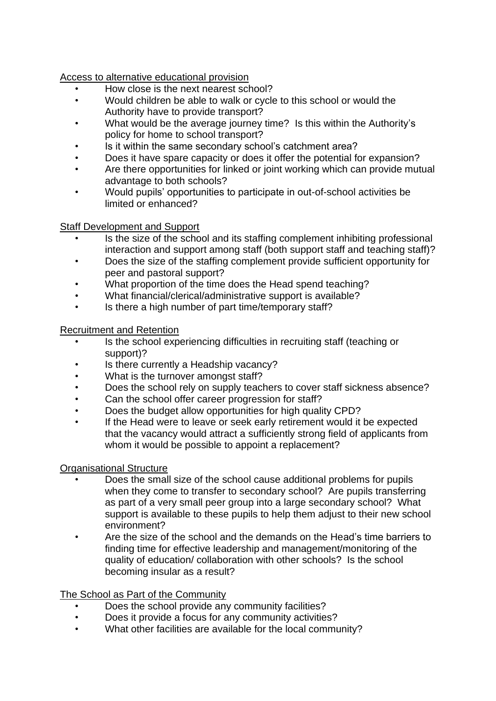Access to alternative educational provision

- How close is the next nearest school?
- Would children be able to walk or cycle to this school or would the Authority have to provide transport?
- What would be the average journey time? Is this within the Authority's policy for home to school transport?
- Is it within the same secondary school's catchment area?
- Does it have spare capacity or does it offer the potential for expansion?
- Are there opportunities for linked or joint working which can provide mutual advantage to both schools?
- Would pupils' opportunities to participate in out-of-school activities be limited or enhanced?

### Staff Development and Support

- Is the size of the school and its staffing complement inhibiting professional interaction and support among staff (both support staff and teaching staff)?
- Does the size of the staffing complement provide sufficient opportunity for peer and pastoral support?
- What proportion of the time does the Head spend teaching?
- What financial/clerical/administrative support is available?
- Is there a high number of part time/temporary staff?

# Recruitment and Retention

- Is the school experiencing difficulties in recruiting staff (teaching or support)?
- Is there currently a Headship vacancy?
- What is the turnover amongst staff?
- Does the school rely on supply teachers to cover staff sickness absence?
- Can the school offer career progression for staff?
- Does the budget allow opportunities for high quality CPD?
- If the Head were to leave or seek early retirement would it be expected that the vacancy would attract a sufficiently strong field of applicants from whom it would be possible to appoint a replacement?

# Organisational Structure

- Does the small size of the school cause additional problems for pupils when they come to transfer to secondary school? Are pupils transferring as part of a very small peer group into a large secondary school? What support is available to these pupils to help them adjust to their new school environment?
- Are the size of the school and the demands on the Head's time barriers to finding time for effective leadership and management/monitoring of the quality of education/ collaboration with other schools? Is the school becoming insular as a result?

The School as Part of the Community

- Does the school provide any community facilities?
- Does it provide a focus for any community activities?
- What other facilities are available for the local community?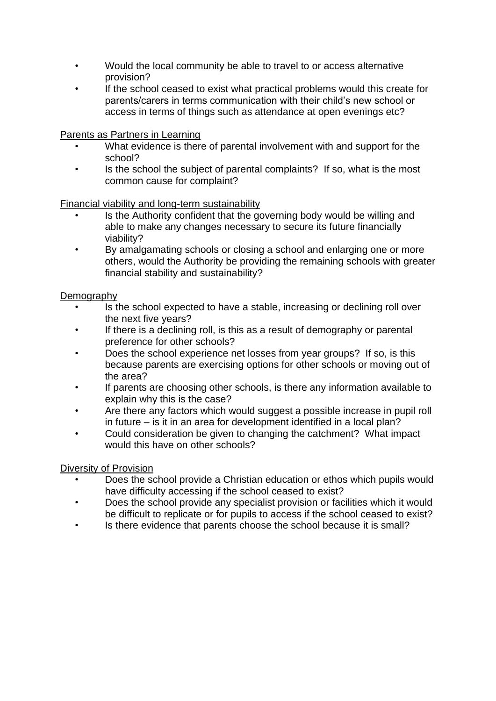- Would the local community be able to travel to or access alternative provision?
- If the school ceased to exist what practical problems would this create for parents/carers in terms communication with their child's new school or access in terms of things such as attendance at open evenings etc?

Parents as Partners in Learning

- What evidence is there of parental involvement with and support for the school?
- Is the school the subject of parental complaints? If so, what is the most common cause for complaint?

Financial viability and long-term sustainability

- Is the Authority confident that the governing body would be willing and able to make any changes necessary to secure its future financially viability?
- By amalgamating schools or closing a school and enlarging one or more others, would the Authority be providing the remaining schools with greater financial stability and sustainability?

### Demography

- Is the school expected to have a stable, increasing or declining roll over the next five years?
- If there is a declining roll, is this as a result of demography or parental preference for other schools?
- Does the school experience net losses from year groups? If so, is this because parents are exercising options for other schools or moving out of the area?
- If parents are choosing other schools, is there any information available to explain why this is the case?
- Are there any factors which would suggest a possible increase in pupil roll in future – is it in an area for development identified in a local plan?
- Could consideration be given to changing the catchment? What impact would this have on other schools?

#### Diversity of Provision

- Does the school provide a Christian education or ethos which pupils would have difficulty accessing if the school ceased to exist?
- Does the school provide any specialist provision or facilities which it would be difficult to replicate or for pupils to access if the school ceased to exist?
- Is there evidence that parents choose the school because it is small?